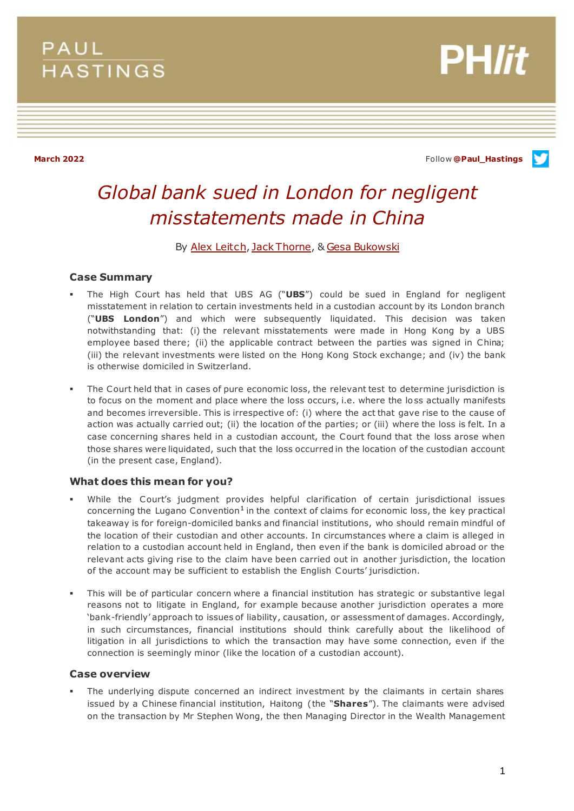## **PAUL HASTINGS**



**March 2022** Follow **[@Paul\\_Hastings](http://twitter.com/Paul_Hastings)**

# *Global bank sued in London for negligent misstatements made in China*

## By [Alex Leitch](https://www.paulhastings.com/professionals/alexleitch)[, Jack Thorne](https://www.paulhastings.com/professionals/details/jackthorne), [& Gesa Bukowski](https://www.paulhastings.com/professionals/details/gesabukowski)

## **Case Summary**

- The High Court has held that UBS AG ("**UBS**") could be sued in England for negligent misstatement in relation to certain investments held in a custodian account by its London branch ("**UBS London**") and which were subsequently liquidated. This decision was taken notwithstanding that: (i) the relevant misstatements were made in Hong Kong by a UBS employee based there; (ii) the applicable contract between the parties was signed in China; (iii) the relevant investments were listed on the Hong Kong Stock exchange; and (iv) the bank is otherwise domiciled in Switzerland.
- The Court held that in cases of pure economic loss, the relevant test to determine jurisdiction is to focus on the moment and place where the loss occurs, i.e. where the loss actually manifests and becomes irreversible. This is irrespective of: (i) where the act that gave rise to the cause of action was actually carried out; (ii) the location of the parties; or (iii) where the loss is felt. In a case concerning shares held in a custodian account, the Court found that the loss arose when those shares were liquidated, such that the loss occurred in the location of the custodian account (in the present case, England).

## **What does this mean for you?**

- While the Court's judgment provides helpful clarification of certain jurisdictional issues concerning the Lugano Convention<sup>1</sup> in the context of claims for economic loss, the key practical takeaway is for foreign-domiciled banks and financial institutions, who should remain mindful of the location of their custodian and other accounts. In circumstances where a claim is alleged in relation to a custodian account held in England, then even if the bank is domiciled abroad or the relevant acts giving rise to the claim have been carried out in another jurisdiction, the location of the account may be sufficient to establish the English Courts' jurisdiction.
- This will be of particular concern where a financial institution has strategic or substantive legal reasons not to litigate in England, for example because another jurisdiction operates a more 'bank-friendly' approach to issues of liability, causation, or assessment of damages. Accordingly, in such circumstances, financial institutions should think carefully about the likelihood of litigation in all jurisdictions to which the transaction may have some connection, even if the connection is seemingly minor (like the location of a custodian account).

## **Case overview**

 The underlying dispute concerned an indirect investment by the claimants in certain shares issued by a Chinese financial institution, Haitong (the "**Shares**"). The claimants were advised on the transaction by Mr Stephen Wong, the then Managing Director in the Wealth Management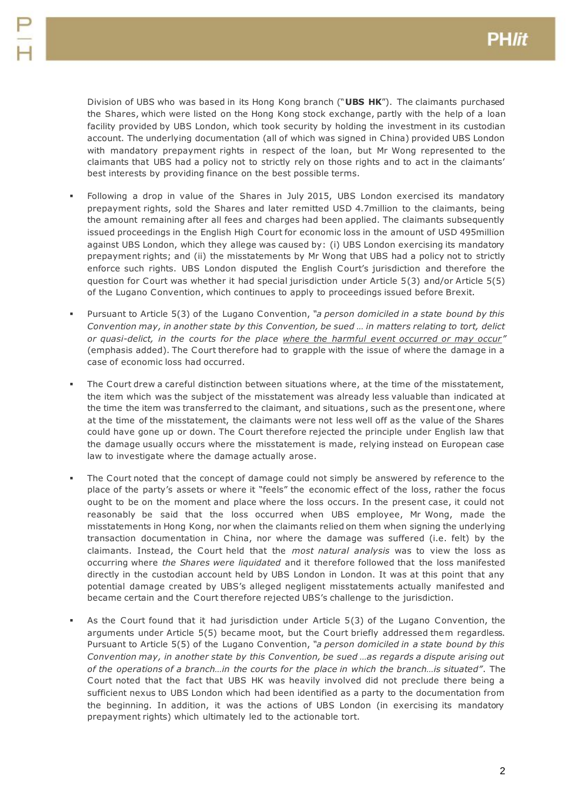Division of UBS who was based in its Hong Kong branch ("**UBS HK**"). The claimants purchased the Shares, which were listed on the Hong Kong stock exchange, partly with the help of a loan facility provided by UBS London, which took security by holding the investment in its custodian account. The underlying documentation (all of which was signed in China) provided UBS London with mandatory prepayment rights in respect of the loan, but Mr Wong represented to the claimants that UBS had a policy not to strictly rely on those rights and to act in the claimants' best interests by providing finance on the best possible terms.

- Following a drop in value of the Shares in July 2015, UBS London exercised its mandatory prepayment rights, sold the Shares and later remitted USD 4.7million to the claimants, being the amount remaining after all fees and charges had been applied. The claimants subsequently issued proceedings in the English High Court for economic loss in the amount of USD 495million against UBS London, which they allege was caused by: (i) UBS London exercising its mandatory prepayment rights; and (ii) the misstatements by Mr Wong that UBS had a policy not to strictly enforce such rights. UBS London disputed the English Court's jurisdiction and therefore the question for Court was whether it had special jurisdiction under Article 5(3) and/or Article 5(5) of the Lugano Convention, which continues to apply to proceedings issued before Brexit.
- Pursuant to Article 5(3) of the Lugano Convention, *"a person domiciled in a state bound by this Convention may, in another state by this Convention, be sued … in matters relating to tort, delict or quasi-delict, in the courts for the place where the harmful event occurred or may occur"*  (emphasis added). The Court therefore had to grapple with the issue of where the damage in a case of economic loss had occurred.
- The Court drew a careful distinction between situations where, at the time of the misstatement, the item which was the subject of the misstatement was already less valuable than indicated at the time the item was transferred to the claimant, and situations, such as the present one, where at the time of the misstatement, the claimants were not less well off as the value of the Shares could have gone up or down. The Court therefore rejected the principle under English law that the damage usually occurs where the misstatement is made, relying instead on European case law to investigate where the damage actually arose.
- The Court noted that the concept of damage could not simply be answered by reference to the place of the party's assets or where it "feels" the economic effect of the loss, rather the focus ought to be on the moment and place where the loss occurs. In the present case, it could not reasonably be said that the loss occurred when UBS employee, Mr Wong, made the misstatements in Hong Kong, nor when the claimants relied on them when signing the underlying transaction documentation in China, nor where the damage was suffered (i.e. felt) by the claimants. Instead, the Court held that the *most natural analysis* was to view the loss as occurring where *the Shares were liquidated* and it therefore followed that the loss manifested directly in the custodian account held by UBS London in London. It was at this point that any potential damage created by UBS's alleged negligent misstatements actually manifested and became certain and the Court therefore rejected UBS's challenge to the jurisdiction.
- As the Court found that it had jurisdiction under Article 5(3) of the Lugano Convention, the arguments under Article 5(5) became moot, but the Court briefly addressed them regardless. Pursuant to Article 5(5) of the Lugano Convention, *"a person domiciled in a state bound by this Convention may, in another state by this Convention, be sued …as regards a dispute arising out of the operations of a branch…in the courts for the place in which the branch…is situated"*. The Court noted that the fact that UBS HK was heavily involved did not preclude there being a sufficient nexus to UBS London which had been identified as a party to the documentation from the beginning. In addition, it was the actions of UBS London (in exercising its mandatory prepayment rights) which ultimately led to the actionable tort.